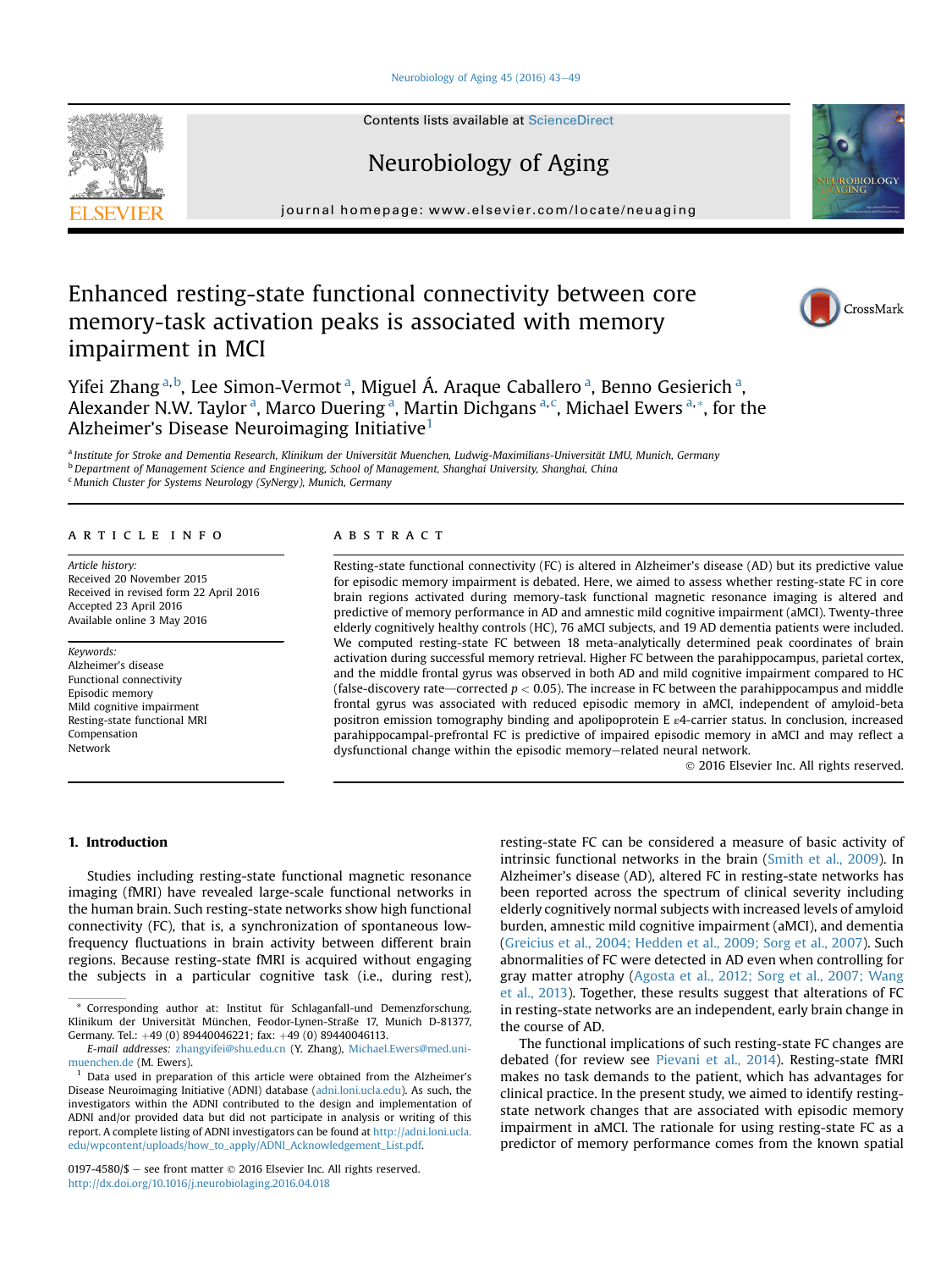### [Neurobiology of Aging 45 \(2016\) 43](http://dx.doi.org/10.1016/j.neurobiolaging.2016.04.018)-[49](http://dx.doi.org/10.1016/j.neurobiolaging.2016.04.018)

Contents lists available at ScienceDirect

# Neurobiology of Aging

journal homepage: [www.elsevier.com/locate/neuaging](http://www.elsevier.com/locate/neuaging)

# Enhanced resting-state functional connectivity between core memory-task activation peaks is associated with memory impairment in MCI

Yifei Zhang<sup>a, b</sup>, Lee Simon-Vermot<sup>a</sup>, Miguel Á. Araque Caballero<sup>a</sup>, Benno Gesierich<sup>a</sup>, Alexander N.W. Taylor<sup>a</sup>, Marco Duering<sup>a</sup>, Martin Dichgans<sup>a,c</sup>, Michael Ewers<sup>a,\*</sup>, for the Alzheimer's Disease Neuroimaging Initiative<sup>1</sup>

a Institute for Stroke and Dementia Research, Klinikum der Universität Muenchen, Ludwig-Maximilians-Universität LMU, Munich, Germany <sup>b</sup> Department of Management Science and Engineering, School of Management, Shanghai University, Shanghai, China <sup>c</sup> Munich Cluster for Systems Neurology (SyNergy), Munich, Germany

## article info

Article history: Received 20 November 2015 Received in revised form 22 April 2016 Accepted 23 April 2016 Available online 3 May 2016

#### Keywords:

Alzheimer's disease Functional connectivity Episodic memory Mild cognitive impairment Resting-state functional MRI Compensation Network

# **ABSTRACT**

Resting-state functional connectivity (FC) is altered in Alzheimer's disease (AD) but its predictive value for episodic memory impairment is debated. Here, we aimed to assess whether resting-state FC in core brain regions activated during memory-task functional magnetic resonance imaging is altered and predictive of memory performance in AD and amnestic mild cognitive impairment (aMCI). Twenty-three elderly cognitively healthy controls (HC), 76 aMCI subjects, and 19 AD dementia patients were included. We computed resting-state FC between 18 meta-analytically determined peak coordinates of brain activation during successful memory retrieval. Higher FC between the parahippocampus, parietal cortex, and the middle frontal gyrus was observed in both AD and mild cognitive impairment compared to HC (false-discovery rate—corrected  $p < 0.05$ ). The increase in FC between the parahippocampus and middle frontal gyrus was associated with reduced episodic memory in aMCI, independent of amyloid-beta positron emission tomography binding and apolipoprotein E ε4-carrier status. In conclusion, increased parahippocampal-prefrontal FC is predictive of impaired episodic memory in aMCI and may reflect a dysfunctional change within the episodic memory-related neural network.

2016 Elsevier Inc. All rights reserved.

## 1. Introduction

Studies including resting-state functional magnetic resonance imaging (fMRI) have revealed large-scale functional networks in the human brain. Such resting-state networks show high functional connectivity (FC), that is, a synchronization of spontaneous lowfrequency fluctuations in brain activity between different brain regions. Because resting-state fMRI is acquired without engaging the subjects in a particular cognitive task (i.e., during rest),

Corresponding author at: Institut für Schlaganfall-und Demenzforschung, Klinikum der Universität München, Feodor-Lynen-Straße 17, Munich D-81377, Germany. Tel.: +49 (0) 89440046221; fax: +49 (0) 89440046113.

E-mail addresses: [zhangyifei@shu.edu.cn](mailto:zhangyifei@shu.edu.cn) (Y. Zhang), [Michael.Ewers@med.uni](mailto:Michael.Ewers@med.uni-muenchen.de)[muenchen.de](mailto:Michael.Ewers@med.uni-muenchen.de) (M. Ewers).

 $1$  Data used in preparation of this article were obtained from the Alzheimer's Disease Neuroimaging Initiative (ADNI) database [\(adni.loni.ucla.edu](http://adni.loni.ucla.edu)). As such, the investigators within the ADNI contributed to the design and implementation of ADNI and/or provided data but did not participate in analysis or writing of this report. A complete listing of ADNI investigators can be found at [http://adni.loni.ucla.](http://adni.loni.ucla.edu/wpcontent/uploads/how_to_apply/ADNI_Acknowledgement_List.pdf) [edu/wpcontent/uploads/how\\_to\\_apply/ADNI\\_Acknowledgement\\_List.pdf](http://adni.loni.ucla.edu/wpcontent/uploads/how_to_apply/ADNI_Acknowledgement_List.pdf).

0197-4580/\$  $-$  see front matter  $\odot$  2016 Elsevier Inc. All rights reserved. <http://dx.doi.org/10.1016/j.neurobiolaging.2016.04.018>

resting-state FC can be considered a measure of basic activity of intrinsic functional networks in the brain [\(Smith et al., 2009](#page-6-0)). In Alzheimer's disease (AD), altered FC in resting-state networks has been reported across the spectrum of clinical severity including elderly cognitively normal subjects with increased levels of amyloid burden, amnestic mild cognitive impairment (aMCI), and dementia [\(Greicius et al., 2004; Hedden et al., 2009; Sorg et al., 2007](#page-6-0)). Such abnormalities of FC were detected in AD even when controlling for gray matter atrophy ([Agosta et al., 2012; Sorg et al., 2007; Wang](#page-5-0) [et al., 2013](#page-5-0)). Together, these results suggest that alterations of FC in resting-state networks are an independent, early brain change in the course of AD.

The functional implications of such resting-state FC changes are debated (for review see [Pievani et al., 2014](#page-6-0)). Resting-state fMRI makes no task demands to the patient, which has advantages for clinical practice. In the present study, we aimed to identify restingstate network changes that are associated with episodic memory impairment in aMCI. The rationale for using resting-state FC as a predictor of memory performance comes from the known spatial





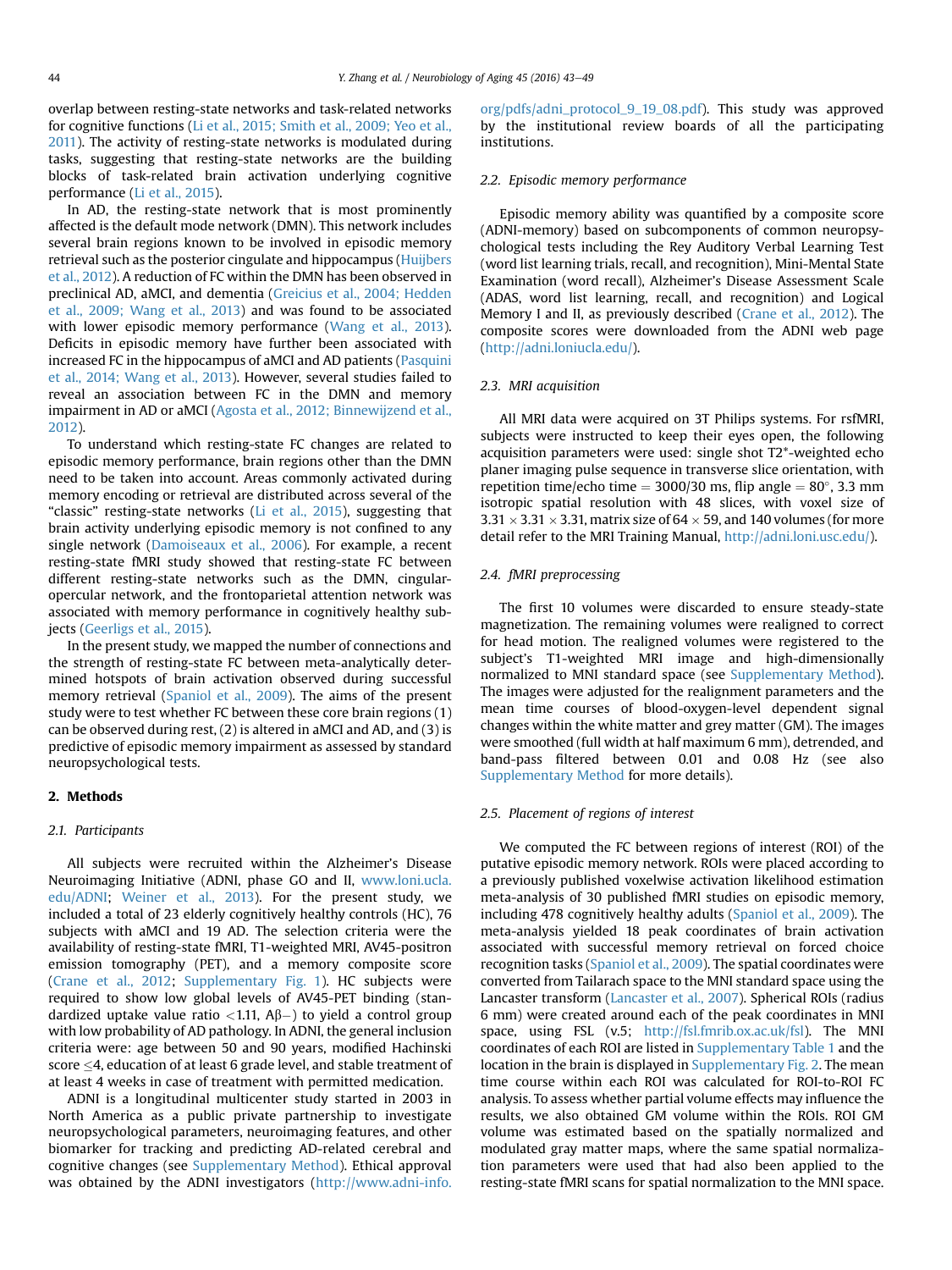overlap between resting-state networks and task-related networks for cognitive functions [\(Li et al., 2015; Smith et al., 2009; Yeo et al.,](#page-6-0) [2011\)](#page-6-0). The activity of resting-state networks is modulated during tasks, suggesting that resting-state networks are the building blocks of task-related brain activation underlying cognitive performance ([Li et al., 2015\)](#page-6-0).

In AD, the resting-state network that is most prominently affected is the default mode network (DMN). This network includes several brain regions known to be involved in episodic memory retrieval such as the posterior cingulate and hippocampus [\(Huijbers](#page-6-0) [et al., 2012\)](#page-6-0). A reduction of FC within the DMN has been observed in preclinical AD, aMCI, and dementia ([Greicius et al., 2004; Hedden](#page-6-0) [et al., 2009; Wang et al., 2013](#page-6-0)) and was found to be associated with lower episodic memory performance ([Wang et al., 2013\)](#page-6-0). Deficits in episodic memory have further been associated with increased FC in the hippocampus of aMCI and AD patients [\(Pasquini](#page-6-0) [et al., 2014; Wang et al., 2013\)](#page-6-0). However, several studies failed to reveal an association between FC in the DMN and memory impairment in AD or aMCI ([Agosta et al., 2012; Binnewijzend et al.,](#page-5-0) [2012\)](#page-5-0).

To understand which resting-state FC changes are related to episodic memory performance, brain regions other than the DMN need to be taken into account. Areas commonly activated during memory encoding or retrieval are distributed across several of the "classic" resting-state networks [\(Li et al., 2015\)](#page-6-0), suggesting that brain activity underlying episodic memory is not confined to any single network [\(Damoiseaux et al., 2006\)](#page-5-0). For example, a recent resting-state fMRI study showed that resting-state FC between different resting-state networks such as the DMN, cingularopercular network, and the frontoparietal attention network was associated with memory performance in cognitively healthy subjects ([Geerligs et al., 2015\)](#page-5-0).

In the present study, we mapped the number of connections and the strength of resting-state FC between meta-analytically determined hotspots of brain activation observed during successful memory retrieval ([Spaniol et al., 2009](#page-6-0)). The aims of the present study were to test whether FC between these core brain regions (1) can be observed during rest, (2) is altered in aMCI and AD, and (3) is predictive of episodic memory impairment as assessed by standard neuropsychological tests.

## 2. Methods

# 2.1. Participants

All subjects were recruited within the Alzheimer's Disease Neuroimaging Initiative (ADNI, phase GO and II, [www.loni.ucla.](http://www.loni.ucla.edu/ADNI) [edu/ADNI;](http://www.loni.ucla.edu/ADNI) [Weiner et al., 2013\)](#page-6-0). For the present study, we included a total of 23 elderly cognitively healthy controls (HC), 76 subjects with aMCI and 19 AD. The selection criteria were the availability of resting-state fMRI, T1-weighted MRI, AV45-positron emission tomography (PET), and a memory composite score [\(Crane et al., 2012;](#page-5-0) Supplementary Fig. 1). HC subjects were required to show low global levels of AV45-PET binding (standardized uptake value ratio  $<$ 1.11, A $\beta$  $-$ ) to yield a control group with low probability of AD pathology. In ADNI, the general inclusion criteria were: age between 50 and 90 years, modified Hachinski score  $\leq$ 4, education of at least 6 grade level, and stable treatment of at least 4 weeks in case of treatment with permitted medication.

ADNI is a longitudinal multicenter study started in 2003 in North America as a public private partnership to investigate neuropsychological parameters, neuroimaging features, and other biomarker for tracking and predicting AD-related cerebral and cognitive changes (see Supplementary Method). Ethical approval was obtained by the ADNI investigators ([http://www.adni-info.](http://www.adni-info.org/pdfs/adni_protocol_9_19_08.pdf)

[org/pdfs/adni\\_protocol\\_9\\_19\\_08.pdf\)](http://www.adni-info.org/pdfs/adni_protocol_9_19_08.pdf). This study was approved by the institutional review boards of all the participating institutions.

#### 2.2. Episodic memory performance

Episodic memory ability was quantified by a composite score (ADNI-memory) based on subcomponents of common neuropsychological tests including the Rey Auditory Verbal Learning Test (word list learning trials, recall, and recognition), Mini-Mental State Examination (word recall), Alzheimer's Disease Assessment Scale (ADAS, word list learning, recall, and recognition) and Logical Memory I and II, as previously described ([Crane et al., 2012\)](#page-5-0). The composite scores were downloaded from the ADNI web page ([http://adni.loniucla.edu/\)](http://adni.loniucla.edu/).

## 2.3. MRI acquisition

All MRI data were acquired on 3T Philips systems. For rsfMRI, subjects were instructed to keep their eyes open, the following acquisition parameters were used: single shot T2\*-weighted echo planer imaging pulse sequence in transverse slice orientation, with repetition time/echo time =  $3000/30$  ms, flip angle =  $80^{\circ}$ , 3.3 mm isotropic spatial resolution with 48 slices, with voxel size of  $3.31 \times 3.31 \times 3.31$ , matrix size of  $64 \times 59$ , and 140 volumes (for more detail refer to the MRI Training Manual, [http://adni.loni.usc.edu/\)](http://adni.loni.usc.edu/).

# 2.4. fMRI preprocessing

The first 10 volumes were discarded to ensure steady-state magnetization. The remaining volumes were realigned to correct for head motion. The realigned volumes were registered to the subject's T1-weighted MRI image and high-dimensionally normalized to MNI standard space (see Supplementary Method). The images were adjusted for the realignment parameters and the mean time courses of blood-oxygen-level dependent signal changes within the white matter and grey matter (GM). The images were smoothed (full width at half maximum 6 mm), detrended, and band-pass filtered between 0.01 and 0.08 Hz (see also Supplementary Method for more details).

#### 2.5. Placement of regions of interest

We computed the FC between regions of interest (ROI) of the putative episodic memory network. ROIs were placed according to a previously published voxelwise activation likelihood estimation meta-analysis of 30 published fMRI studies on episodic memory, including 478 cognitively healthy adults [\(Spaniol et al., 2009](#page-6-0)). The meta-analysis yielded 18 peak coordinates of brain activation associated with successful memory retrieval on forced choice recognition tasks [\(Spaniol et al., 2009](#page-6-0)). The spatial coordinates were converted from Tailarach space to the MNI standard space using the Lancaster transform ([Lancaster et al., 2007\)](#page-6-0). Spherical ROIs (radius 6 mm) were created around each of the peak coordinates in MNI space, using FSL (v.5; [http://fsl.fmrib.ox.ac.uk/fsl\)](http://fsl.fmrib.ox.ac.uk/fsl). The MNI coordinates of each ROI are listed in Supplementary Table 1 and the location in the brain is displayed in Supplementary Fig. 2. The mean time course within each ROI was calculated for ROI-to-ROI FC analysis. To assess whether partial volume effects may influence the results, we also obtained GM volume within the ROIs. ROI GM volume was estimated based on the spatially normalized and modulated gray matter maps, where the same spatial normalization parameters were used that had also been applied to the resting-state fMRI scans for spatial normalization to the MNI space.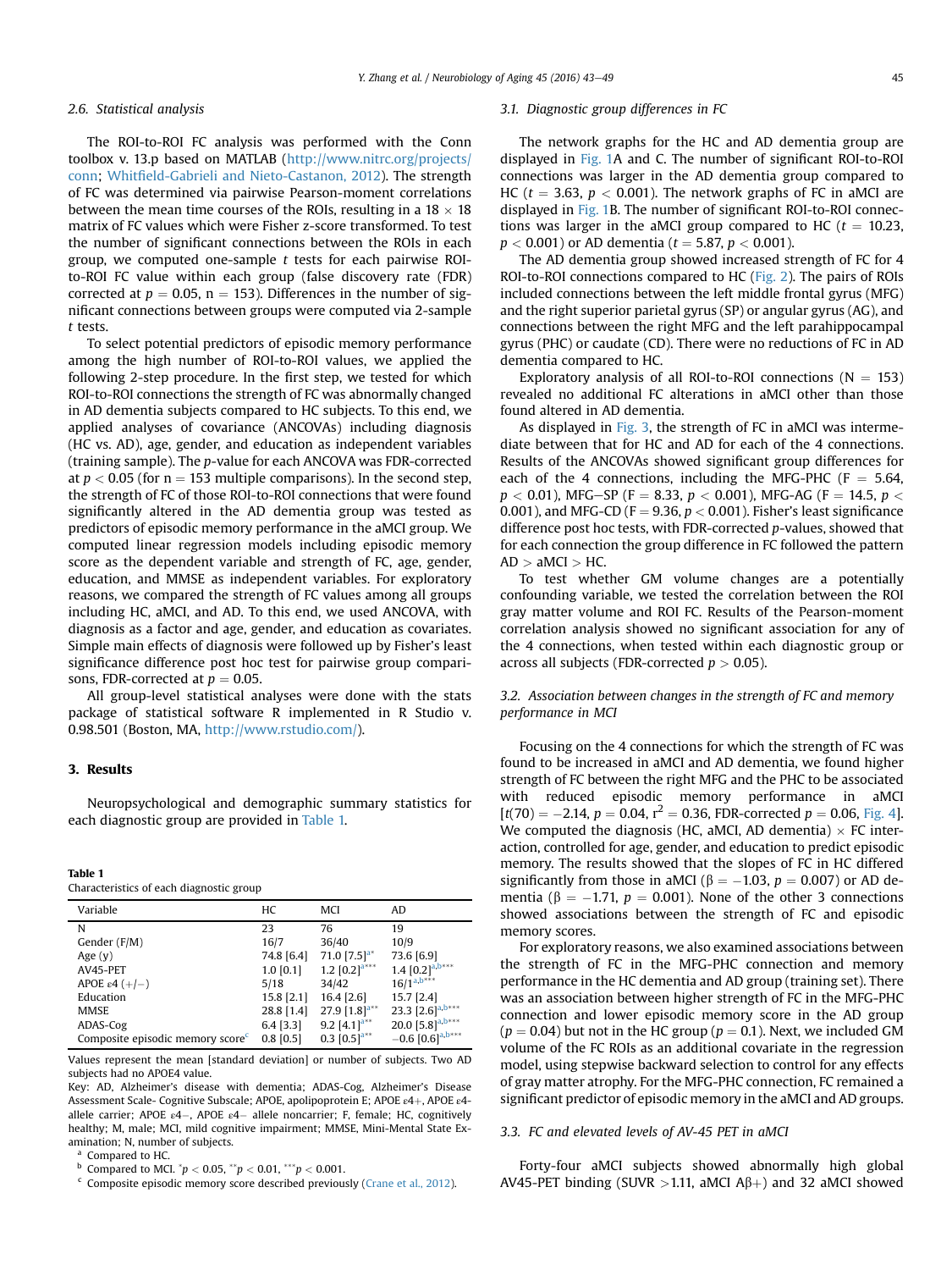# 2.6. Statistical analysis

The ROI-to-ROI FC analysis was performed with the Conn toolbox v. 13.p based on MATLAB [\(http://www.nitrc.org/projects/](http://www.nitrc.org/projects/conn) [conn](http://www.nitrc.org/projects/conn); Whitfi[eld-Gabrieli and Nieto-Castanon, 2012\)](#page-6-0). The strength of FC was determined via pairwise Pearson-moment correlations between the mean time courses of the ROIs, resulting in a  $18 \times 18$ matrix of FC values which were Fisher z-score transformed. To test the number of significant connections between the ROIs in each group, we computed one-sample  $t$  tests for each pairwise ROIto-ROI FC value within each group (false discovery rate (FDR) corrected at  $p = 0.05$ , n = 153). Differences in the number of significant connections between groups were computed via 2-sample t tests.

To select potential predictors of episodic memory performance among the high number of ROI-to-ROI values, we applied the following 2-step procedure. In the first step, we tested for which ROI-to-ROI connections the strength of FC was abnormally changed in AD dementia subjects compared to HC subjects. To this end, we applied analyses of covariance (ANCOVAs) including diagnosis (HC vs. AD), age, gender, and education as independent variables (training sample). The p-value for each ANCOVA was FDR-corrected at  $p < 0.05$  (for  $n = 153$  multiple comparisons). In the second step, the strength of FC of those ROI-to-ROI connections that were found significantly altered in the AD dementia group was tested as predictors of episodic memory performance in the aMCI group. We computed linear regression models including episodic memory score as the dependent variable and strength of FC, age, gender, education, and MMSE as independent variables. For exploratory reasons, we compared the strength of FC values among all groups including HC, aMCI, and AD. To this end, we used ANCOVA, with diagnosis as a factor and age, gender, and education as covariates. Simple main effects of diagnosis were followed up by Fisher's least significance difference post hoc test for pairwise group comparisons, FDR-corrected at  $p = 0.05$ .

All group-level statistical analyses were done with the stats package of statistical software R implemented in R Studio v. 0.98.501 (Boston, MA, [http://www.rstudio.com/\)](http://www.rstudio.com/).

# 3. Results

Neuropsychological and demographic summary statistics for each diagnostic group are provided in Table 1.

#### Table 1

| Characteristics of each diagnostic group |  |  |
|------------------------------------------|--|--|
|------------------------------------------|--|--|

| Variable                        | HС           | MCI                         | AD.                   |
|---------------------------------|--------------|-----------------------------|-----------------------|
| N                               | 23           | 76                          | 19                    |
| Gender (F/M)                    | 16/7         | 36/40                       | 10/9                  |
| Age $(y)$                       | 74.8 [6.4]   | 71.0 $[7.5]$ <sup>a*</sup>  | 73.6 [6.9]            |
| AV45-PET                        | $1.0$ [0.1]  | 1.2 $[0.2]$ <sup>a***</sup> | $1.4 [0.2]^{a,b***}$  |
| APOE $\varepsilon$ 4 (+/-)      | 5/18         | 34/42                       | $16/1^{a,b***}$       |
| Education                       | $15.8$ [2.1] | 16.4 [2.6]                  | 15.7 [2.4]            |
| <b>MMSE</b>                     | 28.8 [1.4]   | 27.9 $[1.8]$ <sup>a**</sup> | 23.3 $[2.6]^{a,b***}$ |
| ADAS-Cog                        | $6.4$ [3.3]  | 9.2 $[4.1]$ <sup>a**</sup>  | 20.0 $[5.8]^{a,b***}$ |
| Composite episodic memory score | $0.8$ [0.5]  | 0.3 $[0.5]$ <sup>a**</sup>  | $-0.6 [0.6]^{a,b***}$ |

Values represent the mean [standard deviation] or number of subjects. Two AD subjects had no APOE4 value.

Key: AD, Alzheimer's disease with dementia; ADAS-Cog, Alzheimer's Disease Assessment Scale- Cognitive Subscale; APOE, apolipoprotein E; APOE ε4+, APOE ε4allele carrier; APOE ε4-, APOE ε4- allele noncarrier; F, female; HC, cognitively healthy; M, male; MCI, mild cognitive impairment; MMSE, Mini-Mental State Examination; N, number of subjects.

<sup>a</sup> Compared to HC.

- $^{\rm b}$  Compared to MCI.  $^*p < 0.05, ^{**}p < 0.01, ^{***}p < 0.001.$
- Composite episodic memory score described previously [\(Crane et al., 2012](#page-5-0)).

## 3.1. Diagnostic group differences in FC

The network graphs for the HC and AD dementia group are displayed in [Fig. 1A](#page-3-0) and C. The number of significant ROI-to-ROI connections was larger in the AD dementia group compared to HC ( $t = 3.63$ ,  $p < 0.001$ ). The network graphs of FC in aMCI are displayed in [Fig. 1](#page-3-0)B. The number of significant ROI-to-ROI connections was larger in the aMCI group compared to HC ( $t = 10.23$ ,  $p < 0.001$ ) or AD dementia ( $t = 5.87$ ,  $p < 0.001$ ).

The AD dementia group showed increased strength of FC for 4 ROI-to-ROI connections compared to HC [\(Fig. 2\)](#page-3-0). The pairs of ROIs included connections between the left middle frontal gyrus (MFG) and the right superior parietal gyrus (SP) or angular gyrus (AG), and connections between the right MFG and the left parahippocampal gyrus (PHC) or caudate (CD). There were no reductions of FC in AD dementia compared to HC.

Exploratory analysis of all ROI-to-ROI connections ( $N = 153$ ) revealed no additional FC alterations in aMCI other than those found altered in AD dementia.

As displayed in [Fig. 3](#page-3-0), the strength of FC in aMCI was intermediate between that for HC and AD for each of the 4 connections. Results of the ANCOVAs showed significant group differences for each of the 4 connections, including the MFG-PHC (F  $=$  5.64,  $p < 0.01$ ), MFG-SP (F = 8.33,  $p < 0.001$ ), MFG-AG (F = 14.5,  $p <$ 0.001), and MFG-CD ( $F = 9.36$ ,  $p < 0.001$ ). Fisher's least significance difference post hoc tests, with FDR-corrected p-values, showed that for each connection the group difference in FC followed the pattern  $AD > aMCI > HC$ .

To test whether GM volume changes are a potentially confounding variable, we tested the correlation between the ROI gray matter volume and ROI FC. Results of the Pearson-moment correlation analysis showed no significant association for any of the 4 connections, when tested within each diagnostic group or across all subjects (FDR-corrected  $p > 0.05$ ).

# 3.2. Association between changes in the strength of FC and memory performance in MCI

Focusing on the 4 connections for which the strength of FC was found to be increased in aMCI and AD dementia, we found higher strength of FC between the right MFG and the PHC to be associated with reduced episodic memory performance in aMCI  $[t(70) = -2.14, p = 0.04, r^2 = 0.36, FDR-corrected p = 0.06, Fig. 4].$  $[t(70) = -2.14, p = 0.04, r^2 = 0.36, FDR-corrected p = 0.06, Fig. 4].$  $[t(70) = -2.14, p = 0.04, r^2 = 0.36, FDR-corrected p = 0.06, Fig. 4].$ We computed the diagnosis (HC, aMCI, AD dementia)  $\times$  FC interaction, controlled for age, gender, and education to predict episodic memory. The results showed that the slopes of FC in HC differed significantly from those in aMCI ( $\beta = -1.03$ ,  $p = 0.007$ ) or AD dementia ( $\beta = -1.71$ ,  $p = 0.001$ ). None of the other 3 connections showed associations between the strength of FC and episodic memory scores.

For exploratory reasons, we also examined associations between the strength of FC in the MFG-PHC connection and memory performance in the HC dementia and AD group (training set). There was an association between higher strength of FC in the MFG-PHC connection and lower episodic memory score in the AD group  $(p = 0.04)$  but not in the HC group  $(p = 0.1)$ . Next, we included GM volume of the FC ROIs as an additional covariate in the regression model, using stepwise backward selection to control for any effects of gray matter atrophy. For the MFG-PHC connection, FC remained a significant predictor of episodic memory in the aMCI and AD groups.

## 3.3. FC and elevated levels of AV-45 PET in aMCI

Forty-four aMCI subjects showed abnormally high global AV45-PET binding (SUVR  $>1.11$ , aMCI A $\beta$ +) and 32 aMCI showed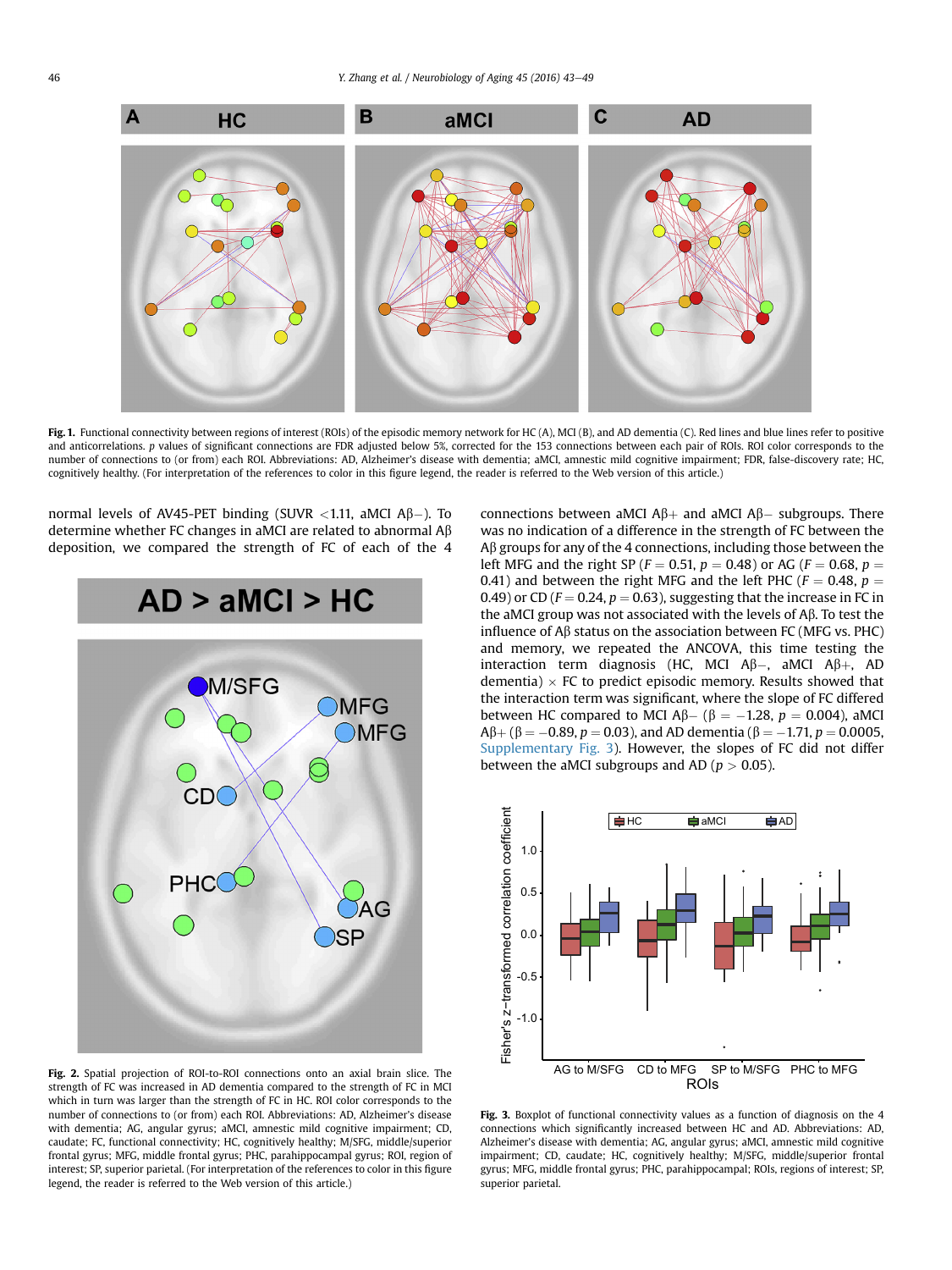<span id="page-3-0"></span>

Fig. 1. Functional connectivity between regions of interest (ROIs) of the episodic memory network for HC (A), MCI (B), and AD dementia (C). Red lines and blue lines refer to positive and anticorrelations. p values of significant connections are FDR adjusted below 5%, corrected for the 153 connections between each pair of ROIs. ROI color corresponds to the number of connections to (or from) each ROI. Abbreviations: AD, Alzheimer's disease with dementia; aMCI, amnestic mild cognitive impairment; FDR, false-discovery rate; HC, cognitively healthy. (For interpretation of the references to color in this figure legend, the reader is referred to the Web version of this article.)

normal levels of AV45-PET binding (SUVR  $<$ 1.11, aMCI A $\beta$ –). To determine whether FC changes in aMCI are related to abnormal  $A\beta$ deposition, we compared the strength of FC of each of the 4



Fig. 2. Spatial projection of ROI-to-ROI connections onto an axial brain slice. The strength of FC was increased in AD dementia compared to the strength of FC in MCI which in turn was larger than the strength of FC in HC. ROI color corresponds to the number of connections to (or from) each ROI. Abbreviations: AD, Alzheimer's disease with dementia; AG, angular gyrus; aMCI, amnestic mild cognitive impairment; CD, caudate; FC, functional connectivity; HC, cognitively healthy; M/SFG, middle/superior frontal gyrus; MFG, middle frontal gyrus; PHC, parahippocampal gyrus; ROI, region of interest; SP, superior parietal. (For interpretation of the references to color in this figure legend, the reader is referred to the Web version of this article.)

connections between aMCI  $\mathsf{A}\beta + \mathsf{a}$  and aMCI  $\mathsf{A}\beta - \mathsf{subgroups}$ . There was no indication of a difference in the strength of FC between the  $A\beta$  groups for any of the 4 connections, including those between the left MFG and the right SP ( $F = 0.51$ ,  $p = 0.48$ ) or AG ( $F = 0.68$ ,  $p =$ 0.41) and between the right MFG and the left PHC ( $F = 0.48$ ,  $p =$ 0.49) or CD ( $F = 0.24$ ,  $p = 0.63$ ), suggesting that the increase in FC in the aMCI group was not associated with the levels of  $A\beta$ . To test the influence of  $\mathsf{A}\beta$  status on the association between FC (MFG vs. PHC) and memory, we repeated the ANCOVA, this time testing the interaction term diagnosis (HC, MCI  $\mathsf{A}\beta$ –, aMCI  $\mathsf{A}\beta$ +, AD dementia)  $\times$  FC to predict episodic memory. Results showed that the interaction term was significant, where the slope of FC differed between HC compared to MCI  $A\beta - (\beta = -1.28, p = 0.004)$ , aMCI  $A\beta + (\beta = -0.89, p = 0.03)$ , and AD dementia ( $\beta = -1.71, p = 0.0005,$ Supplementary Fig. 3). However, the slopes of FC did not differ between the aMCI subgroups and AD ( $p > 0.05$ ).



Fig. 3. Boxplot of functional connectivity values as a function of diagnosis on the 4 connections which significantly increased between HC and AD. Abbreviations: AD, Alzheimer's disease with dementia; AG, angular gyrus; aMCI, amnestic mild cognitive impairment; CD, caudate; HC, cognitively healthy; M/SFG, middle/superior frontal gyrus; MFG, middle frontal gyrus; PHC, parahippocampal; ROIs, regions of interest; SP, superior parietal.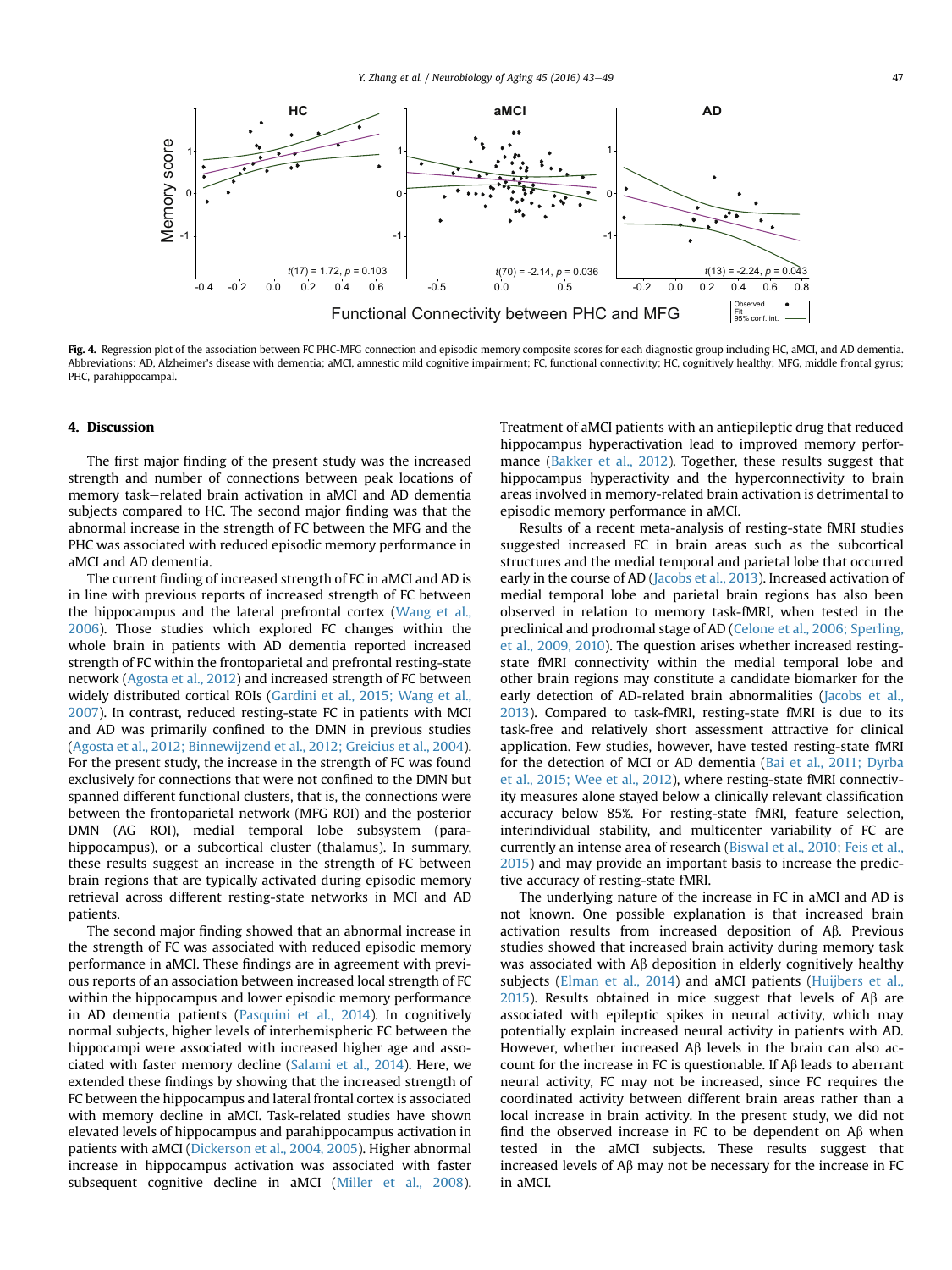<span id="page-4-0"></span>

Fig. 4. Regression plot of the association between FC PHC-MFG connection and episodic memory composite scores for each diagnostic group including HC, aMCI, and AD dementia. Abbreviations: AD, Alzheimer's disease with dementia; aMCI, amnestic mild cognitive impairment; FC, functional connectivity; HC, cognitively healthy; MFG, middle frontal gyrus; PHC, parahippocampal.

# 4. Discussion

The first major finding of the present study was the increased strength and number of connections between peak locations of memory task-related brain activation in aMCI and AD dementia subjects compared to HC. The second major finding was that the abnormal increase in the strength of FC between the MFG and the PHC was associated with reduced episodic memory performance in aMCI and AD dementia.

The current finding of increased strength of FC in aMCI and AD is in line with previous reports of increased strength of FC between the hippocampus and the lateral prefrontal cortex ([Wang et al.,](#page-6-0) [2006\)](#page-6-0). Those studies which explored FC changes within the whole brain in patients with AD dementia reported increased strength of FC within the frontoparietal and prefrontal resting-state network [\(Agosta et al., 2012](#page-5-0)) and increased strength of FC between widely distributed cortical ROIs ([Gardini et al., 2015; Wang et al.,](#page-5-0) [2007\)](#page-5-0). In contrast, reduced resting-state FC in patients with MCI and AD was primarily confined to the DMN in previous studies ([Agosta et al., 2012; Binnewijzend et al., 2012; Greicius et al., 2004](#page-5-0)). For the present study, the increase in the strength of FC was found exclusively for connections that were not confined to the DMN but spanned different functional clusters, that is, the connections were between the frontoparietal network (MFG ROI) and the posterior DMN (AG ROI), medial temporal lobe subsystem (parahippocampus), or a subcortical cluster (thalamus). In summary, these results suggest an increase in the strength of FC between brain regions that are typically activated during episodic memory retrieval across different resting-state networks in MCI and AD patients.

The second major finding showed that an abnormal increase in the strength of FC was associated with reduced episodic memory performance in aMCI. These findings are in agreement with previous reports of an association between increased local strength of FC within the hippocampus and lower episodic memory performance in AD dementia patients [\(Pasquini et al., 2014](#page-6-0)). In cognitively normal subjects, higher levels of interhemispheric FC between the hippocampi were associated with increased higher age and associated with faster memory decline ([Salami et al., 2014\)](#page-6-0). Here, we extended these findings by showing that the increased strength of FC between the hippocampus and lateral frontal cortex is associated with memory decline in aMCI. Task-related studies have shown elevated levels of hippocampus and parahippocampus activation in patients with aMCI [\(Dickerson et al., 2004, 2005](#page-5-0)). Higher abnormal increase in hippocampus activation was associated with faster subsequent cognitive decline in aMCI [\(Miller et al., 2008](#page-6-0)). Treatment of aMCI patients with an antiepileptic drug that reduced hippocampus hyperactivation lead to improved memory perfor-mance ([Bakker et al., 2012\)](#page-5-0). Together, these results suggest that hippocampus hyperactivity and the hyperconnectivity to brain areas involved in memory-related brain activation is detrimental to episodic memory performance in aMCI.

Results of a recent meta-analysis of resting-state fMRI studies suggested increased FC in brain areas such as the subcortical structures and the medial temporal and parietal lobe that occurred early in the course of AD ([Jacobs et al., 2013\)](#page-6-0). Increased activation of medial temporal lobe and parietal brain regions has also been observed in relation to memory task-fMRI, when tested in the preclinical and prodromal stage of AD ([Celone et al., 2006; Sperling,](#page-5-0) [et al., 2009, 2010](#page-5-0)). The question arises whether increased restingstate fMRI connectivity within the medial temporal lobe and other brain regions may constitute a candidate biomarker for the early detection of AD-related brain abnormalities [\(Jacobs et al.,](#page-6-0) [2013](#page-6-0)). Compared to task-fMRI, resting-state fMRI is due to its task-free and relatively short assessment attractive for clinical application. Few studies, however, have tested resting-state fMRI for the detection of MCI or AD dementia ([Bai et al., 2011; Dyrba](#page-5-0) [et al., 2015; Wee et al., 2012](#page-5-0)), where resting-state fMRI connectivity measures alone stayed below a clinically relevant classification accuracy below 85%. For resting-state fMRI, feature selection, interindividual stability, and multicenter variability of FC are currently an intense area of research [\(Biswal et al., 2010; Feis et al.,](#page-5-0) [2015](#page-5-0)) and may provide an important basis to increase the predictive accuracy of resting-state fMRI.

The underlying nature of the increase in FC in aMCI and AD is not known. One possible explanation is that increased brain activation results from increased deposition of  $\Lambda\beta$ . Previous studies showed that increased brain activity during memory task was associated with  $\mathsf{A}\beta$  deposition in elderly cognitively healthy subjects ([Elman et al., 2014](#page-5-0)) and aMCI patients ([Huijbers et al.,](#page-6-0) [2015](#page-6-0)). Results obtained in mice suggest that levels of  $A\beta$  are associated with epileptic spikes in neural activity, which may potentially explain increased neural activity in patients with AD. However, whether increased  $\mathsf{A}\beta$  levels in the brain can also account for the increase in FC is questionable. If  $A\beta$  leads to aberrant neural activity, FC may not be increased, since FC requires the coordinated activity between different brain areas rather than a local increase in brain activity. In the present study, we did not find the observed increase in FC to be dependent on  $\mathsf{A}\beta$  when tested in the aMCI subjects. These results suggest that increased levels of  $A\beta$  may not be necessary for the increase in FC in aMCI.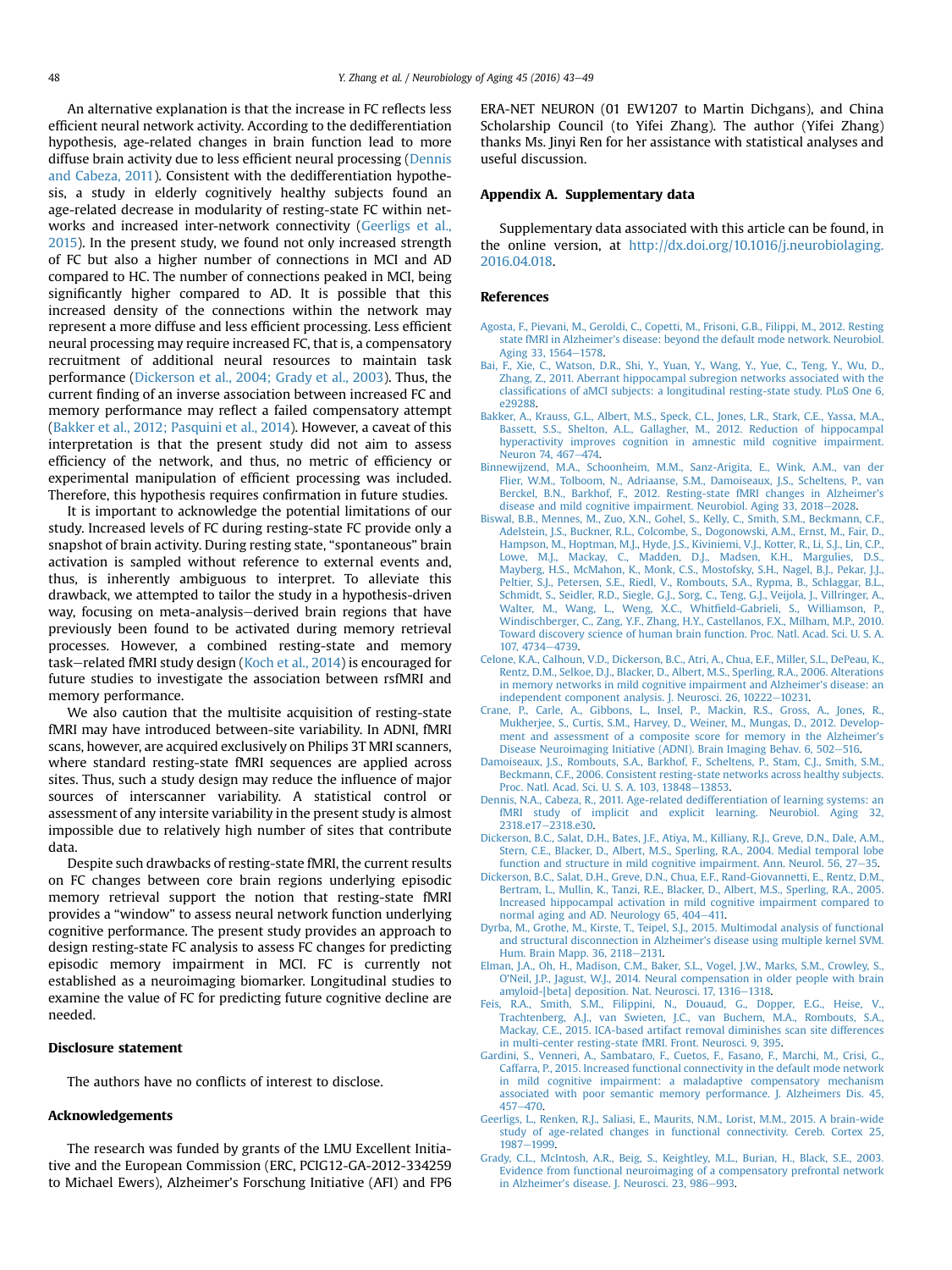<span id="page-5-0"></span>An alternative explanation is that the increase in FC reflects less efficient neural network activity. According to the dedifferentiation hypothesis, age-related changes in brain function lead to more diffuse brain activity due to less efficient neural processing (Dennis and Cabeza, 2011). Consistent with the dedifferentiation hypothesis, a study in elderly cognitively healthy subjects found an age-related decrease in modularity of resting-state FC within networks and increased inter-network connectivity (Geerligs et al., 2015). In the present study, we found not only increased strength of FC but also a higher number of connections in MCI and AD compared to HC. The number of connections peaked in MCI, being significantly higher compared to AD. It is possible that this increased density of the connections within the network may represent a more diffuse and less efficient processing. Less efficient neural processing may require increased FC, that is, a compensatory recruitment of additional neural resources to maintain task performance (Dickerson et al., 2004; Grady et al., 2003). Thus, the current finding of an inverse association between increased FC and memory performance may reflect a failed compensatory attempt (Bakker et al., 2012; Pasquini et al., 2014). However, a caveat of this interpretation is that the present study did not aim to assess efficiency of the network, and thus, no metric of efficiency or experimental manipulation of efficient processing was included. Therefore, this hypothesis requires confirmation in future studies.

It is important to acknowledge the potential limitations of our study. Increased levels of FC during resting-state FC provide only a snapshot of brain activity. During resting state, "spontaneous" brain activation is sampled without reference to external events and, thus, is inherently ambiguous to interpret. To alleviate this drawback, we attempted to tailor the study in a hypothesis-driven way, focusing on meta-analysis–derived brain regions that have previously been found to be activated during memory retrieval processes. However, a combined resting-state and memory task–related fMRI study design [\(Koch et al., 2014\)](#page-6-0) is encouraged for future studies to investigate the association between rsfMRI and memory performance.

We also caution that the multisite acquisition of resting-state fMRI may have introduced between-site variability. In ADNI, fMRI scans, however, are acquired exclusively on Philips 3T MRI scanners, where standard resting-state fMRI sequences are applied across sites. Thus, such a study design may reduce the influence of major sources of interscanner variability. A statistical control or assessment of any intersite variability in the present study is almost impossible due to relatively high number of sites that contribute data.

Despite such drawbacks of resting-state fMRI, the current results on FC changes between core brain regions underlying episodic memory retrieval support the notion that resting-state fMRI provides a "window" to assess neural network function underlying cognitive performance. The present study provides an approach to design resting-state FC analysis to assess FC changes for predicting episodic memory impairment in MCI. FC is currently not established as a neuroimaging biomarker. Longitudinal studies to examine the value of FC for predicting future cognitive decline are needed.

## Disclosure statement

The authors have no conflicts of interest to disclose.

#### Acknowledgements

The research was funded by grants of the LMU Excellent Initiative and the European Commission (ERC, PCIG12-GA-2012-334259 to Michael Ewers), Alzheimer's Forschung Initiative (AFI) and FP6 ERA-NET NEURON (01 EW1207 to Martin Dichgans), and China Scholarship Council (to Yifei Zhang). The author (Yifei Zhang) thanks Ms. Jinyi Ren for her assistance with statistical analyses and useful discussion.

## Appendix A. Supplementary data

Supplementary data associated with this article can be found, in the online version, at [http://dx.doi.org/10.1016/j.neurobiolaging.](http://dx.doi.org/10.1016/j.neurobiolaging.2016.04.018) [2016.04.018.](http://dx.doi.org/10.1016/j.neurobiolaging.2016.04.018)

## References

- [Agosta, F., Pievani, M., Geroldi, C., Copetti, M., Frisoni, G.B., Filippi, M., 2012. Resting](http://refhub.elsevier.com/S0197-4580(16)30055-0/sref1) state fMRI in Alzheimer'[s disease: beyond the default mode network. Neurobiol.](http://refhub.elsevier.com/S0197-4580(16)30055-0/sref1) [Aging 33, 1564](http://refhub.elsevier.com/S0197-4580(16)30055-0/sref1)-[1578](http://refhub.elsevier.com/S0197-4580(16)30055-0/sref1).
- [Bai, F., Xie, C., Watson, D.R., Shi, Y., Yuan, Y., Wang, Y., Yue, C., Teng, Y., Wu, D.,](http://refhub.elsevier.com/S0197-4580(16)30055-0/sref2) [Zhang, Z., 2011. Aberrant hippocampal subregion networks associated with the](http://refhub.elsevier.com/S0197-4580(16)30055-0/sref2) classifi[cations of aMCI subjects: a longitudinal resting-state study. PLoS One 6,](http://refhub.elsevier.com/S0197-4580(16)30055-0/sref2) [e29288](http://refhub.elsevier.com/S0197-4580(16)30055-0/sref2).
- [Bakker, A., Krauss, G.L., Albert, M.S., Speck, C.L., Jones, L.R., Stark, C.E., Yassa, M.A.,](http://refhub.elsevier.com/S0197-4580(16)30055-0/sref3) [Bassett, S.S., Shelton, A.L., Gallagher, M., 2012. Reduction of hippocampal](http://refhub.elsevier.com/S0197-4580(16)30055-0/sref3) [hyperactivity improves cognition in amnestic mild cognitive impairment.](http://refhub.elsevier.com/S0197-4580(16)30055-0/sref3) [Neuron 74, 467](http://refhub.elsevier.com/S0197-4580(16)30055-0/sref3)-[474.](http://refhub.elsevier.com/S0197-4580(16)30055-0/sref3)
- [Binnewijzend, M.A., Schoonheim, M.M., Sanz-Arigita, E., Wink, A.M., van der](http://refhub.elsevier.com/S0197-4580(16)30055-0/sref4) [Flier, W.M., Tolboom, N., Adriaanse, S.M., Damoiseaux, J.S., Scheltens, P., van](http://refhub.elsevier.com/S0197-4580(16)30055-0/sref4) [Berckel, B.N., Barkhof, F., 2012. Resting-state fMRI changes in Alzheimer](http://refhub.elsevier.com/S0197-4580(16)30055-0/sref4)'s [disease and mild cognitive impairment. Neurobiol. Aging 33, 2018](http://refhub.elsevier.com/S0197-4580(16)30055-0/sref4)-[2028](http://refhub.elsevier.com/S0197-4580(16)30055-0/sref4).
- [Biswal, B.B., Mennes, M., Zuo, X.N., Gohel, S., Kelly, C., Smith, S.M., Beckmann, C.F.,](http://refhub.elsevier.com/S0197-4580(16)30055-0/sref5) [Adelstein, J.S., Buckner, R.L., Colcombe, S., Dogonowski, A.M., Ernst, M., Fair, D.,](http://refhub.elsevier.com/S0197-4580(16)30055-0/sref5) [Hampson, M., Hoptman, M.J., Hyde, J.S., Kiviniemi, V.J., Kotter, R., Li, S.J., Lin, C.P.,](http://refhub.elsevier.com/S0197-4580(16)30055-0/sref5) [Lowe, M.J., Mackay, C., Madden, D.J., Madsen, K.H., Margulies, D.S.,](http://refhub.elsevier.com/S0197-4580(16)30055-0/sref5) [Mayberg, H.S., McMahon, K., Monk, C.S., Mostofsky, S.H., Nagel, B.J., Pekar, J.J.,](http://refhub.elsevier.com/S0197-4580(16)30055-0/sref5) [Peltier, S.J., Petersen, S.E., Riedl, V., Rombouts, S.A., Rypma, B., Schlaggar, B.L.,](http://refhub.elsevier.com/S0197-4580(16)30055-0/sref5) [Schmidt, S., Seidler, R.D., Siegle, G.J., Sorg, C., Teng, G.J., Veijola, J., Villringer, A.,](http://refhub.elsevier.com/S0197-4580(16)30055-0/sref5) [Walter, M., Wang, L., Weng, X.C., Whit](http://refhub.elsevier.com/S0197-4580(16)30055-0/sref5)field-Gabrieli, S., Williamson, P., [Windischberger, C., Zang, Y.F., Zhang, H.Y., Castellanos, F.X., Milham, M.P., 2010.](http://refhub.elsevier.com/S0197-4580(16)30055-0/sref5) [Toward discovery science of human brain function. Proc. Natl. Acad. Sci. U. S. A.](http://refhub.elsevier.com/S0197-4580(16)30055-0/sref5) [107, 4734](http://refhub.elsevier.com/S0197-4580(16)30055-0/sref5)-[4739](http://refhub.elsevier.com/S0197-4580(16)30055-0/sref5).
- [Celone, K.A., Calhoun, V.D., Dickerson, B.C., Atri, A., Chua, E.F., Miller, S.L., DePeau, K.,](http://refhub.elsevier.com/S0197-4580(16)30055-0/sref6) [Rentz, D.M., Selkoe, D.J., Blacker, D., Albert, M.S., Sperling, R.A., 2006. Alterations](http://refhub.elsevier.com/S0197-4580(16)30055-0/sref6) [in memory networks in mild cognitive impairment and Alzheimer](http://refhub.elsevier.com/S0197-4580(16)30055-0/sref6)'s disease: an [independent component analysis. J. Neurosci. 26, 10222](http://refhub.elsevier.com/S0197-4580(16)30055-0/sref6)-[10231.](http://refhub.elsevier.com/S0197-4580(16)30055-0/sref6)
- [Crane, P., Carle, A., Gibbons, L., Insel, P., Mackin, R.S., Gross, A., Jones, R.,](http://refhub.elsevier.com/S0197-4580(16)30055-0/sref7) [Mukherjee, S., Curtis, S.M., Harvey, D., Weiner, M., Mungas, D., 2012. Develop](http://refhub.elsevier.com/S0197-4580(16)30055-0/sref7)[ment and assessment of a composite score for memory in the Alzheimer](http://refhub.elsevier.com/S0197-4580(16)30055-0/sref7)'s [Disease Neuroimaging Initiative \(ADNI\). Brain Imaging Behav. 6, 502](http://refhub.elsevier.com/S0197-4580(16)30055-0/sref7)-[516](http://refhub.elsevier.com/S0197-4580(16)30055-0/sref7).
- [Damoiseaux, J.S., Rombouts, S.A., Barkhof, F., Scheltens, P., Stam, C.J., Smith, S.M.,](http://refhub.elsevier.com/S0197-4580(16)30055-0/sref8) [Beckmann, C.F., 2006. Consistent resting-state networks across healthy subjects.](http://refhub.elsevier.com/S0197-4580(16)30055-0/sref8) [Proc. Natl. Acad. Sci. U. S. A. 103, 13848](http://refhub.elsevier.com/S0197-4580(16)30055-0/sref8)-[13853.](http://refhub.elsevier.com/S0197-4580(16)30055-0/sref8)
- [Dennis, N.A., Cabeza, R., 2011. Age-related dedifferentiation of learning systems: an](http://refhub.elsevier.com/S0197-4580(16)30055-0/sref9) [fMRI study of implicit and explicit learning. Neurobiol. Aging 32,](http://refhub.elsevier.com/S0197-4580(16)30055-0/sref9) [2318.e17](http://refhub.elsevier.com/S0197-4580(16)30055-0/sref9)-[2318.e30.](http://refhub.elsevier.com/S0197-4580(16)30055-0/sref9)
- [Dickerson, B.C., Salat, D.H., Bates, J.F., Atiya, M., Killiany, R.J., Greve, D.N., Dale, A.M.,](http://refhub.elsevier.com/S0197-4580(16)30055-0/sref10) [Stern, C.E., Blacker, D., Albert, M.S., Sperling, R.A., 2004. Medial temporal lobe](http://refhub.elsevier.com/S0197-4580(16)30055-0/sref10) function and structure in mild cognitive impairment. Ann. Neurol.  $56$ ,  $27-35$  $27-35$ .
- [Dickerson, B.C., Salat, D.H., Greve, D.N., Chua, E.F., Rand-Giovannetti, E., Rentz, D.M.,](http://refhub.elsevier.com/S0197-4580(16)30055-0/sref11) [Bertram, L., Mullin, K., Tanzi, R.E., Blacker, D., Albert, M.S., Sperling, R.A., 2005.](http://refhub.elsevier.com/S0197-4580(16)30055-0/sref11) [Increased hippocampal activation in mild cognitive impairment compared to](http://refhub.elsevier.com/S0197-4580(16)30055-0/sref11) normal aging and AD. Neurology 65,  $404-411$ .
- [Dyrba, M., Grothe, M., Kirste, T., Teipel, S.J., 2015. Multimodal analysis of functional](http://refhub.elsevier.com/S0197-4580(16)30055-0/sref12) [and structural disconnection in Alzheimer](http://refhub.elsevier.com/S0197-4580(16)30055-0/sref12)'s disease using multiple kernel SVM. [Hum. Brain Mapp. 36, 2118](http://refhub.elsevier.com/S0197-4580(16)30055-0/sref12)-[2131.](http://refhub.elsevier.com/S0197-4580(16)30055-0/sref12)
- [Elman, J.A., Oh, H., Madison, C.M., Baker, S.L., Vogel, J.W., Marks, S.M., Crowley, S.,](http://refhub.elsevier.com/S0197-4580(16)30055-0/sref13) O'[Neil, J.P., Jagust, W.J., 2014. Neural compensation in older people with brain](http://refhub.elsevier.com/S0197-4580(16)30055-0/sref13) [amyloid-\[beta\] deposition. Nat. Neurosci. 17, 1316](http://refhub.elsevier.com/S0197-4580(16)30055-0/sref13)-[1318.](http://refhub.elsevier.com/S0197-4580(16)30055-0/sref13)
- [Feis, R.A., Smith, S.M., Filippini, N., Douaud, G., Dopper, E.G., Heise, V.,](http://refhub.elsevier.com/S0197-4580(16)30055-0/sref14) [Trachtenberg, A.J., van Swieten, J.C., van Buchem, M.A., Rombouts, S.A.,](http://refhub.elsevier.com/S0197-4580(16)30055-0/sref14) [Mackay, C.E., 2015. ICA-based artifact removal diminishes scan site differences](http://refhub.elsevier.com/S0197-4580(16)30055-0/sref14) [in multi-center resting-state fMRI. Front. Neurosci. 9, 395](http://refhub.elsevier.com/S0197-4580(16)30055-0/sref14).
- [Gardini, S., Venneri, A., Sambataro, F., Cuetos, F., Fasano, F., Marchi, M., Crisi, G.,](http://refhub.elsevier.com/S0197-4580(16)30055-0/sref15) [Caffarra, P., 2015. Increased functional connectivity in the default mode network](http://refhub.elsevier.com/S0197-4580(16)30055-0/sref15) [in mild cognitive impairment: a maladaptive compensatory mechanism](http://refhub.elsevier.com/S0197-4580(16)30055-0/sref15) [associated with poor semantic memory performance. J. Alzheimers Dis. 45,](http://refhub.elsevier.com/S0197-4580(16)30055-0/sref15) [457](http://refhub.elsevier.com/S0197-4580(16)30055-0/sref15)-[470](http://refhub.elsevier.com/S0197-4580(16)30055-0/sref15).
- [Geerligs, L., Renken, R.J., Saliasi, E., Maurits, N.M., Lorist, M.M., 2015. A brain-wide](http://refhub.elsevier.com/S0197-4580(16)30055-0/sref16) [study of age-related changes in functional connectivity. Cereb. Cortex 25,](http://refhub.elsevier.com/S0197-4580(16)30055-0/sref16) [1987](http://refhub.elsevier.com/S0197-4580(16)30055-0/sref16)-[1999](http://refhub.elsevier.com/S0197-4580(16)30055-0/sref16)
- [Grady, C.L., McIntosh, A.R., Beig, S., Keightley, M.L., Burian, H., Black, S.E., 2003.](http://refhub.elsevier.com/S0197-4580(16)30055-0/sref17) [Evidence from functional neuroimaging of a compensatory prefrontal network](http://refhub.elsevier.com/S0197-4580(16)30055-0/sref17) in Alzheimer'[s disease. J. Neurosci. 23, 986](http://refhub.elsevier.com/S0197-4580(16)30055-0/sref17)-[993](http://refhub.elsevier.com/S0197-4580(16)30055-0/sref17).